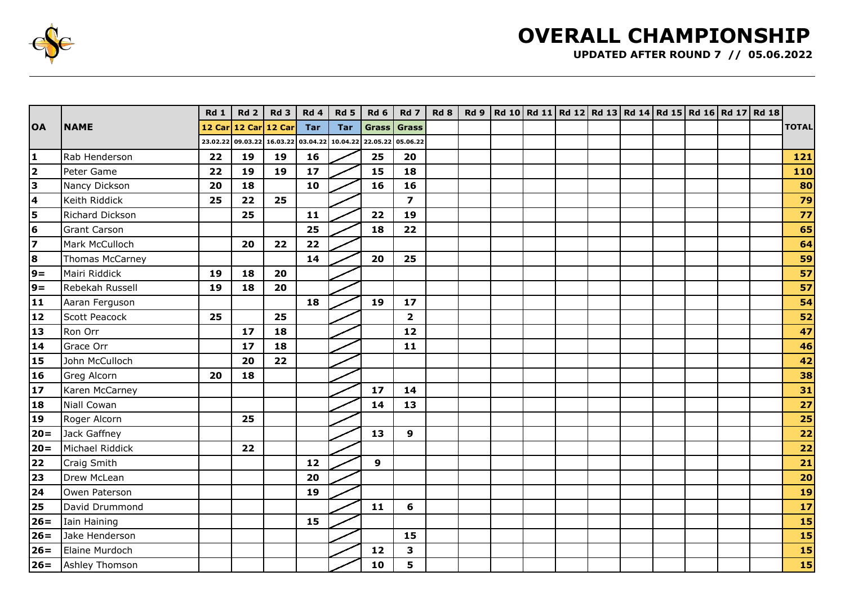

## **OVERALL CHAMPIONSHIP**

**UPDATED AFTER ROUND 7 // 05.06.2022**

|                         |                     | Rd1      | <b>Rd 2</b>   | Rd <sub>3</sub>                              | Rd 4 | Rd 5 | Rd <sub>6</sub> | Rd 7                    | Rd 8 | Rd 9   Rd 10   Rd 11   Rd 12   Rd 13   Rd 14   Rd 15   Rd 16   Rd 17   Rd 18 |  |  |  |  |              |
|-------------------------|---------------------|----------|---------------|----------------------------------------------|------|------|-----------------|-------------------------|------|------------------------------------------------------------------------------|--|--|--|--|--------------|
| <b>OA</b>               | <b>NAME</b>         | 12 Car   | <b>12 Car</b> | <b>12 Car</b>                                | Tar  | Tar  | <b>Grass</b>    | Grass                   |      |                                                                              |  |  |  |  | <b>TOTAL</b> |
|                         |                     | 23.02.22 |               | 09.03.22 16.03.22 03.04.22 10.04.22 22.05.22 |      |      |                 | 05.06.22                |      |                                                                              |  |  |  |  |              |
| 1                       | Rab Henderson       | 22       | 19            | 19                                           | 16   |      | 25              | 20                      |      |                                                                              |  |  |  |  | 121          |
| $\overline{\mathbf{2}}$ | Peter Game          | 22       | 19            | 19                                           | 17   |      | 15              | 18                      |      |                                                                              |  |  |  |  | 110          |
| 3                       | Nancy Dickson       | 20       | 18            |                                              | 10   |      | 16              | 16                      |      |                                                                              |  |  |  |  | 80           |
| 4                       | Keith Riddick       | 25       | 22            | 25                                           |      |      |                 | $\overline{\mathbf{z}}$ |      |                                                                              |  |  |  |  | 79           |
| 5                       | Richard Dickson     |          | 25            |                                              | 11   |      | 22              | 19                      |      |                                                                              |  |  |  |  | 77           |
| 6                       | <b>Grant Carson</b> |          |               |                                              | 25   |      | 18              | 22                      |      |                                                                              |  |  |  |  | 65           |
| $\overline{z}$          | Mark McCulloch      |          | 20            | 22                                           | 22   |      |                 |                         |      |                                                                              |  |  |  |  | 64           |
| 8                       | Thomas McCarney     |          |               |                                              | 14   |      | 20              | 25                      |      |                                                                              |  |  |  |  | 59           |
| $9=$                    | Mairi Riddick       | 19       | 18            | 20                                           |      |      |                 |                         |      |                                                                              |  |  |  |  | 57           |
| $9=$                    | Rebekah Russell     | 19       | 18            | 20                                           |      |      |                 |                         |      |                                                                              |  |  |  |  | 57           |
| 11                      | Aaran Ferguson      |          |               |                                              | 18   |      | 19              | 17                      |      |                                                                              |  |  |  |  | 54           |
| 12                      | Scott Peacock       | 25       |               | 25                                           |      |      |                 | $\overline{2}$          |      |                                                                              |  |  |  |  | 52           |
| 13                      | Ron Orr             |          | 17            | 18                                           |      |      |                 | 12                      |      |                                                                              |  |  |  |  | 47           |
| 14                      | Grace Orr           |          | 17            | 18                                           |      |      |                 | 11                      |      |                                                                              |  |  |  |  | 46           |
| 15                      | John McCulloch      |          | 20            | 22                                           |      |      |                 |                         |      |                                                                              |  |  |  |  | 42           |
| 16                      | Greg Alcorn         | 20       | 18            |                                              |      |      |                 |                         |      |                                                                              |  |  |  |  | 38           |
| 17                      | Karen McCarney      |          |               |                                              |      |      | 17              | 14                      |      |                                                                              |  |  |  |  | 31           |
| 18                      | <b>Niall Cowan</b>  |          |               |                                              |      |      | 14              | 13                      |      |                                                                              |  |  |  |  | 27           |
| 19                      | Roger Alcorn        |          | 25            |                                              |      |      |                 |                         |      |                                                                              |  |  |  |  | 25           |
| $20 =$                  | Jack Gaffney        |          |               |                                              |      |      | 13              | 9                       |      |                                                                              |  |  |  |  | 22           |
| $20 =$                  | Michael Riddick     |          | 22            |                                              |      |      |                 |                         |      |                                                                              |  |  |  |  | 22           |
| 22                      | Craig Smith         |          |               |                                              | 12   |      | 9               |                         |      |                                                                              |  |  |  |  | 21           |
| 23                      | <b>Drew McLean</b>  |          |               |                                              | 20   |      |                 |                         |      |                                                                              |  |  |  |  | 20           |
| 24                      | Owen Paterson       |          |               |                                              | 19   |      |                 |                         |      |                                                                              |  |  |  |  | 19           |
| 25                      | David Drummond      |          |               |                                              |      |      | 11              | 6                       |      |                                                                              |  |  |  |  | $17$         |
| $26=$                   | Iain Haining        |          |               |                                              | 15   |      |                 |                         |      |                                                                              |  |  |  |  | 15           |
| $26=$                   | Jake Henderson      |          |               |                                              |      |      |                 | 15                      |      |                                                                              |  |  |  |  | 15           |
| $26=$                   | Elaine Murdoch      |          |               |                                              |      |      | 12              | 3                       |      |                                                                              |  |  |  |  | 15           |
|                         | 26= Ashley Thomson  |          |               |                                              |      |      | 10              | 5                       |      |                                                                              |  |  |  |  | 15           |